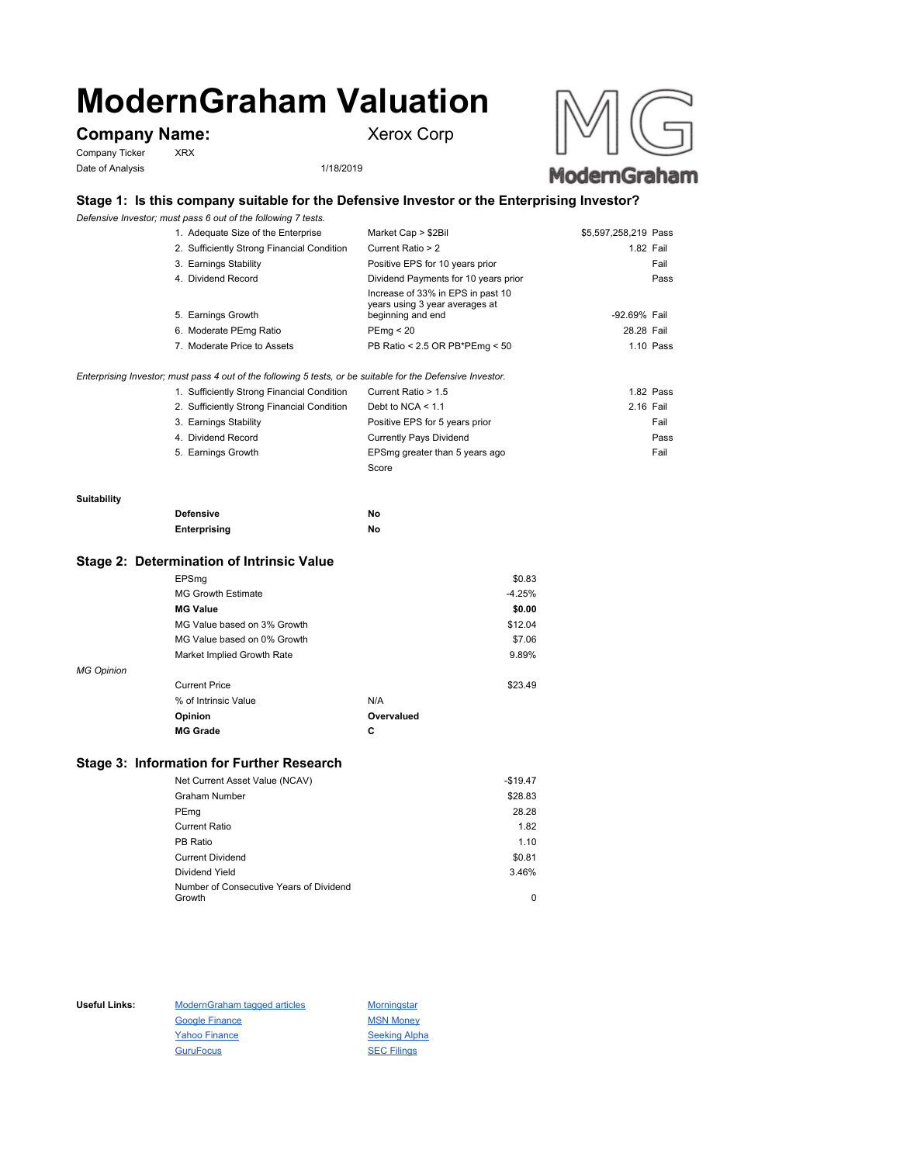# **ModernGraham Valuation**

# **Company Name:** Xerox Corp

Company Ticker XRX Date of Analysis 1/18/2019





## **Stage 1: Is this company suitable for the Defensive Investor or the Enterprising Investor?**

*Defensive Investor; must pass 6 out of the following 7 tests.*

| 1. Adequate Size of the Enterprise         | Market Cap > \$2Bil                                                                      | \$5,597,258,219 Pass |      |
|--------------------------------------------|------------------------------------------------------------------------------------------|----------------------|------|
| 2. Sufficiently Strong Financial Condition | Current Ratio > 2                                                                        | 1.82 Fail            |      |
| 3. Earnings Stability                      | Positive EPS for 10 years prior                                                          |                      | Fail |
| 4. Dividend Record                         | Dividend Payments for 10 years prior                                                     |                      | Pass |
| 5. Earnings Growth                         | Increase of 33% in EPS in past 10<br>years using 3 year averages at<br>beginning and end | -92.69% Fail         |      |
| 6. Moderate PEmg Ratio                     | PEmq < 20                                                                                | 28.28 Fail           |      |
| 7. Moderate Price to Assets                | PB Ratio < 2.5 OR PB*PEmg < 50                                                           | $1.10$ Pass          |      |

*Enterprising Investor; must pass 4 out of the following 5 tests, or be suitable for the Defensive Investor.*

| 1. Sufficiently Strong Financial Condition | Current Ratio > 1.5            | 1.82 Pass |  |
|--------------------------------------------|--------------------------------|-----------|--|
| 2. Sufficiently Strong Financial Condition | Debt to NCA $<$ 1.1            | 2.16 Fail |  |
| 3. Earnings Stability                      | Positive EPS for 5 years prior | Fail      |  |
| 4. Dividend Record                         | <b>Currently Pays Dividend</b> | Pass      |  |
| 5. Earnings Growth                         | EPSmg greater than 5 years ago | Fail      |  |
|                                            | Score                          |           |  |

#### **Suitability**

| <b>Defensive</b> | Νo |
|------------------|----|
| Enterprising     | Νo |

#### **Stage 2: Determination of Intrinsic Value**

|                   | EPSmg                       |            | \$0.83   |
|-------------------|-----------------------------|------------|----------|
|                   | <b>MG Growth Estimate</b>   |            | $-4.25%$ |
|                   | <b>MG Value</b>             |            | \$0.00   |
|                   | MG Value based on 3% Growth |            | \$12.04  |
|                   | MG Value based on 0% Growth |            | \$7.06   |
|                   | Market Implied Growth Rate  |            | 9.89%    |
| <b>MG Opinion</b> |                             |            |          |
|                   | <b>Current Price</b>        |            | \$23.49  |
|                   | % of Intrinsic Value        | N/A        |          |
|                   | Opinion                     | Overvalued |          |
|                   | <b>MG Grade</b>             | С          |          |
|                   |                             |            |          |

#### **Stage 3: Information for Further Research**

| Net Current Asset Value (NCAV)          | $-$19.47$ |
|-----------------------------------------|-----------|
| Graham Number                           | \$28.83   |
| PEmg                                    | 28.28     |
| Current Ratio                           | 1.82      |
| PB Ratio                                | 1.10      |
| <b>Current Dividend</b>                 | \$0.81    |
| Dividend Yield                          | 3.46%     |
| Number of Consecutive Years of Dividend |           |
| Growth                                  | 0         |

Useful Links: ModernGraham tagged articles Morningstar Google Finance MSN Money Yahoo Finance Seeking Alpha GuruFocus SEC Filings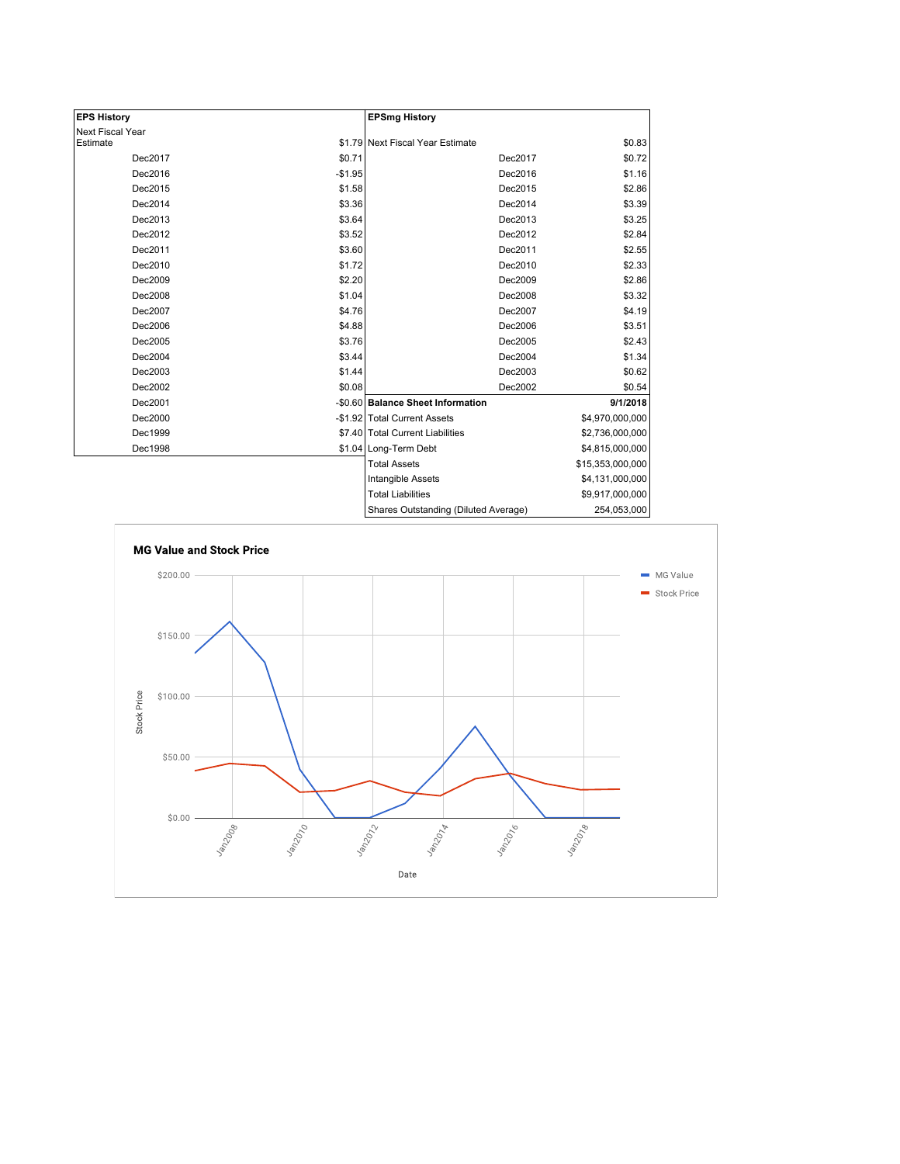| <b>EPS History</b> |          | <b>EPSmg History</b>                 |                    |
|--------------------|----------|--------------------------------------|--------------------|
| Next Fiscal Year   |          |                                      |                    |
| Estimate           |          | \$1.79 Next Fiscal Year Estimate     | \$0.83             |
| Dec2017            | \$0.71   | Dec2017                              | \$0.72             |
| Dec2016            | $-$1.95$ | Dec2016                              | \$1.16             |
| Dec2015            | \$1.58   | Dec2015                              | \$2.86             |
| Dec2014            | \$3.36   | Dec2014                              | \$3.39             |
| Dec2013            | \$3.64   | Dec2013                              | \$3.25             |
| Dec2012            | \$3.52   | Dec2012                              | \$2.84             |
| Dec2011            | \$3.60   | Dec2011                              | \$2.55             |
| Dec2010            | \$1.72   | Dec2010                              | \$2.33             |
| Dec2009            | \$2.20   | Dec2009                              | \$2.86             |
| Dec2008            | \$1.04   | Dec2008                              | \$3.32             |
| Dec2007            | \$4.76   | Dec2007                              | \$4.19             |
| Dec2006            | \$4.88   | Dec2006                              | \$3.51             |
| Dec2005            | \$3.76   | Dec2005                              | \$2.43             |
| Dec2004            | \$3.44   | Dec2004                              | \$1.34             |
| Dec2003            | \$1.44   | Dec2003                              | \$0.62             |
| Dec2002            | \$0.08   | Dec2002                              | \$0.54             |
| Dec2001            |          | -\$0.60 Balance Sheet Information    | 9/1/2018           |
| Dec2000            |          | -\$1.92 Total Current Assets         | \$4,970,000,000    |
| Dec1999            |          | \$7.40 Total Current Liabilities     | \$2,736,000,000    |
| Dec1998            |          | \$1.04 Long-Term Debt                | \$4,815,000,000    |
|                    |          | <b>Total Assets</b>                  | \$15,353,000,000   |
|                    |          | Intangible Assets                    | \$4,131,000,000    |
|                    |          | <b>Total Liabilities</b>             | \$9,917,000,000    |
|                    |          | Charge Qutetanding (Diluted Average) | <b>OEA OE2 OOO</b> |